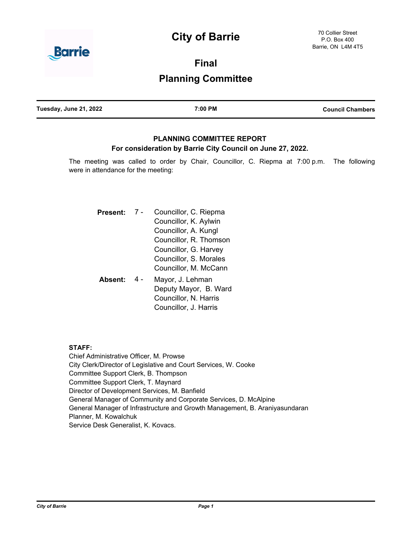# **City of Barrie**



**Final**

## **Planning Committee**

| Tuesday, June 21, 2022<br>7:00 PM | <b>Council Chambers</b> |
|-----------------------------------|-------------------------|
|-----------------------------------|-------------------------|

## **PLANNING COMMITTEE REPORT For consideration by Barrie City Council on June 27, 2022.**

The meeting was called to order by Chair, Councillor, C. Riepma at 7:00 p.m. The following were in attendance for the meeting:

| Present: | Councillor, C. Riepma<br>Councillor, K. Aylwin<br>Councillor, A. Kungl<br>Councillor, R. Thomson<br>Councillor, G. Harvey<br>Councillor, S. Morales<br>Councillor, M. McCann |
|----------|------------------------------------------------------------------------------------------------------------------------------------------------------------------------------|
| Absent:  | Mayor, J. Lehman<br>Deputy Mayor, B. Ward<br>Councillor, N. Harris<br>Councillor, J. Harris                                                                                  |

#### **STAFF:**

Chief Administrative Officer, M. Prowse City Clerk/Director of Legislative and Court Services, W. Cooke Committee Support Clerk, B. Thompson Committee Support Clerk, T. Maynard Director of Development Services, M. Banfield General Manager of Community and Corporate Services, D. McAlpine General Manager of Infrastructure and Growth Management, B. Araniyasundaran Planner, M. Kowalchuk Service Desk Generalist, K. Kovacs.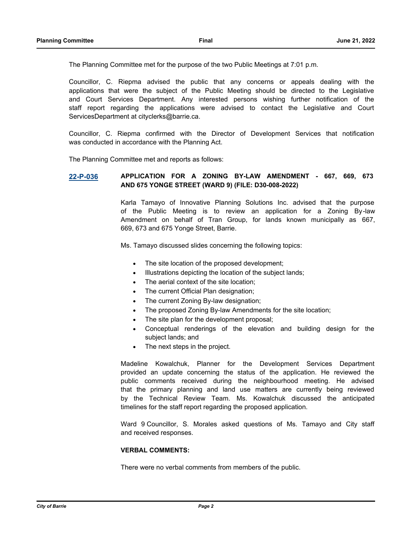The Planning Committee met for the purpose of the two Public Meetings at 7:01 p.m.

Councillor, C. Riepma advised the public that any concerns or appeals dealing with the applications that were the subject of the Public Meeting should be directed to the Legislative and Court Services Department. Any interested persons wishing further notification of the staff report regarding the applications were advised to contact the Legislative and Court ServicesDepartment at cityclerks@barrie.ca.

Councillor, C. Riepma confirmed with the Director of Development Services that notification was conducted in accordance with the Planning Act.

The Planning Committee met and reports as follows:

#### **[22-P-036](http://barrie.ca.legistar.com/gateway.aspx?m=l&id=/matter.aspx?key=50730) APPLICATION FOR A ZONING BY-LAW AMENDMENT - 667, 669, 673 AND 675 YONGE STREET (WARD 9) (FILE: D30-008-2022)**

Karla Tamayo of Innovative Planning Solutions Inc. advised that the purpose of the Public Meeting is to review an application for a Zoning By-law Amendment on behalf of Tran Group, for lands known municipally as 667, 669, 673 and 675 Yonge Street, Barrie.

Ms. Tamayo discussed slides concerning the following topics:

- · The site location of the proposed development;
- Illustrations depicting the location of the subject lands;
- The aerial context of the site location;
- The current Official Plan designation;
- The current Zoning By-law designation;
- The proposed Zoning By-law Amendments for the site location;
- The site plan for the development proposal;
- Conceptual renderings of the elevation and building design for the subject lands; and
- The next steps in the project.

Madeline Kowalchuk, Planner for the Development Services Department provided an update concerning the status of the application. He reviewed the public comments received during the neighbourhood meeting. He advised that the primary planning and land use matters are currently being reviewed by the Technical Review Team. Ms. Kowalchuk discussed the anticipated timelines for the staff report regarding the proposed application.

Ward 9 Councillor, S. Morales asked questions of Ms. Tamayo and City staff and received responses.

#### **VERBAL COMMENTS:**

There were no verbal comments from members of the public.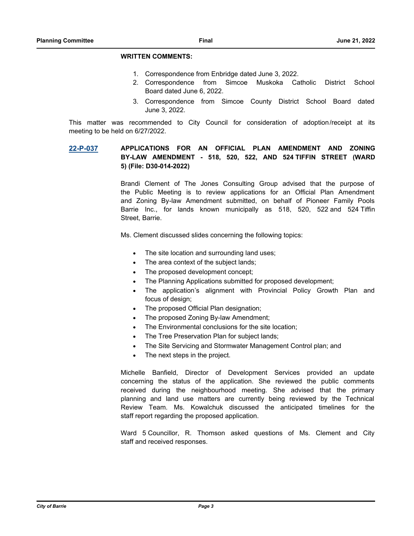#### **WRITTEN COMMENTS:**

- 1. Correspondence from Enbridge dated June 3, 2022.
- 2. Correspondence from Simcoe Muskoka Catholic District School Board dated June 6, 2022.
- 3. Correspondence from Simcoe County District School Board dated June 3, 2022.

This matter was recommended to City Council for consideration of adoption/receipt at its meeting to be held on 6/27/2022.

### **[22-P-037](http://barrie.ca.legistar.com/gateway.aspx?m=l&id=/matter.aspx?key=50756) APPLICATIONS FOR AN OFFICIAL PLAN AMENDMENT AND ZONING BY-LAW AMENDMENT - 518, 520, 522, AND 524 TIFFIN STREET (WARD 5) (File: D30-014-2022)**

Brandi Clement of The Jones Consulting Group advised that the purpose of the Public Meeting is to review applications for an Official Plan Amendment and Zoning By-law Amendment submitted, on behalf of Pioneer Family Pools Barrie Inc., for lands known municipally as 518, 520, 522 and 524 Tiffin Street, Barrie.

Ms. Clement discussed slides concerning the following topics:

- The site location and surrounding land uses;
- The area context of the subject lands;
- The proposed development concept;
- The Planning Applications submitted for proposed development;
- The application's alignment with Provincial Policy Growth Plan and focus of design;
- The proposed Official Plan designation;
- The proposed Zoning By-law Amendment;
- The Environmental conclusions for the site location;
- The Tree Preservation Plan for subject lands;
- The Site Servicing and Stormwater Management Control plan; and
- The next steps in the project.

Michelle Banfield, Director of Development Services provided an update concerning the status of the application. She reviewed the public comments received during the neighbourhood meeting. She advised that the primary planning and land use matters are currently being reviewed by the Technical Review Team. Ms. Kowalchuk discussed the anticipated timelines for the staff report regarding the proposed application.

Ward 5 Councillor, R. Thomson asked questions of Ms. Clement and City staff and received responses.